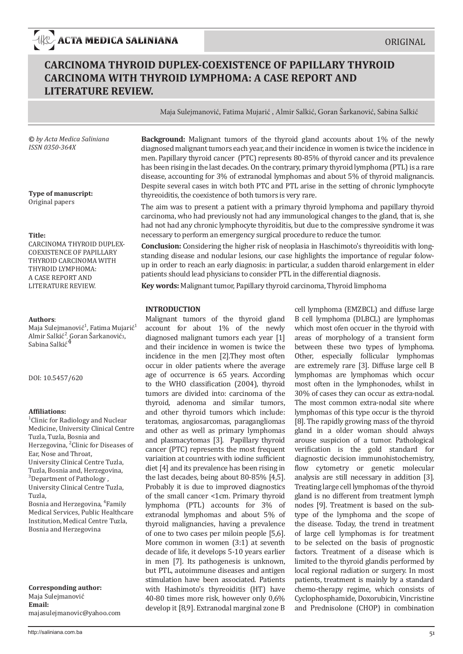# **CARCINOMA THYROID DUPLEX-COEXISTENCE OF PAPILLARY THYROID CARCINOMA WITH THYROID LYMPHOMA: A CASE REPORT AND LITERATURE REVIEW.**

Maja Sulejmanović, Fatima Mujarić , Almir Salkić, Goran Šarkanović, Sabina Salkić

**©** *by Acta Medica Saliniana ISSN 0350-364X*

**Type of manuscript:**  Original papers

#### **Title:**

CARCINOMA THYROID DUPLEX-COEXISTENCE OF PAPILLARY THYROID CARCINOMA WITH THYROID LYMPHOMA: A CASE REPORT AND LITERATURE REVIEW.

#### **Authors**:

Maja Sulejmanović<sup>1</sup>, Fatima Mujarić<sup>1</sup> Almir Salkić<sup>2</sup>, Goran Šarkanović3,<br>Sabina Salkić<sup>4</sup>

DOI: 10.5457/620

#### **Affiliations:**

1 Clinic for Radiology and Nuclear Medicine, University Clinical Centre Tuzla, Tuzla, Bosnia and Herzegovina, <sup>2</sup>Clinic for Diseases of Ear, Nose and Throat, University Clinical Centre Tuzla, Tuzla, Bosnia and, Herzegovina, 3 Department of Pathology , University Clinical Centre Tuzla, Tuzla,

Bosnia and Herzegovina, <sup>4</sup>Family Medical Services, Public Healthcare Institution, Medical Centre Tuzla, Bosnia and Herzegovina

**Corresponding author:**  Maja Sulejmanović **Email:** majasulejmanovic@yahoo.com

**Background:** Malignant tumors of the thyroid gland accounts about 1% of the newly diagnosed malignant tumors each year, and their incidence in women is twice the incidence in men. Papillary thyroid cancer (PTC) represents 80-85% of thyroid cancer and its prevalence has been rising in the last decades. On the contrary, primary thyroid lymphoma (PTL) is a rare disease, accounting for 3% of extranodal lymphomas and about 5% of thyroid malignancis. Despite several cases in witch both PTC and PTL arise in the setting of chronic lymphocyte thyreoiditis, the coexistence of both tumors is very rare.

The aim was to present a patient with a primary thyroid lymphoma and papillary thyroid carcinoma, who had previously not had any immunological changes to the gland, that is, she had not had any chronic lymphocyte thyroiditis, but due to the compressive syndrome it was necessary to perform an emergency surgical procedure to reduce the tumor.

**Conclusion:** Considering the higher risk of neoplasia in Haschimoto's thyreoiditis with longstanding disease and nodular lesions, our case highlights the importance of regular folowup in order to reach an early diagnosis: in particular, a sudden tharoid enlargement in elder patients should lead physicians to consider PTL in the differential diagnosis.

**Key words:** Malignant tumor, Papillary thyroid carcinoma, Thyroid limphoma

## **INTRODUCTION**

Malignant tumors of the thyroid gland account for about 1% of the newly diagnosed malignant tumors each year [1] and their incidence in women is twice the incidence in the men [2].They most often occur in older patients where the average age of occurrence is 65 years. According to the WHO classification (2004), thyroid tumors are divided into: carcinoma of the thyroid, adenoma and similar tumors, and other thyroid tumors which include: teratomas, angiosarcomas, paragangliomas and other as well as primary lymphomas and plasmacytomas [3]. Papillary thyroid cancer (PTC) represents the most frequent variaition at countries with iodine sufficient diet [4] and its prevalence has been rising in the last decades, being about 80-85% [4,5]. Probably it is due to improved diagnostics of the small cancer <1cm. Primary thyroid lymphoma (PTL) accounts for 3% of extranodal lymphomas and about 5% of thyroid malignancies, having a prevalence of one to two cases per miloin people [5,6]. More common in women (3:1) at seventh decade of life, it develops 5-10 years earlier in men [7]. Its pathogenesis is unknown, but PTL, autoimmune diseases and antigen stimulation have been associated. Patients with Hashimoto's thyreoiditis (HT) have 40-80 times more risk, however only 0,6% develop it [8,9]. Extranodal marginal zone B

cell lymphoma (EMZBCL) and diffuse large B cell lymphoma (DLBCL) are lymphomas which most ofen occuer in the thyroid with areas of morphology of a transient form between these two types of lymphoma. Other, especially follicular lymphomas are extremely rare [3]. Diffuse large cell B lymphomas are lymphomas which occur most often in the lymphonodes, whilst in 30% of cases they can occur as extra-nodal. The most common extra-nodal site where lymphomas of this type occur is the thyroid [8]. The rapidly growing mass of the thyroid gland in a older woman should always arouse suspicion of a tumor. Pathological verification is the gold standard for diagnostic decision immunohistochemistry, flow cytometry or genetic molecular analysis are still necessary in addition [3]. Treating large cell lymphomas of the thyroid gland is no different from treatment lymph nodes [9]. Treatment is based on the subtype of the lymphoma and the scope of the disease. Today, the trend in treatment of large cell lymphomas is for treatment to be selected on the basis of prognostic factors. Treatment of a disease which is limited to the thyroid glandis performed by local regional radiation or surgery. In most patients, treatment is mainly by a standard chemo-therapy regime, which consists of Cyclophosphamide, Doxorubicin, Vincristine and Prednisolone (CHOP) in combination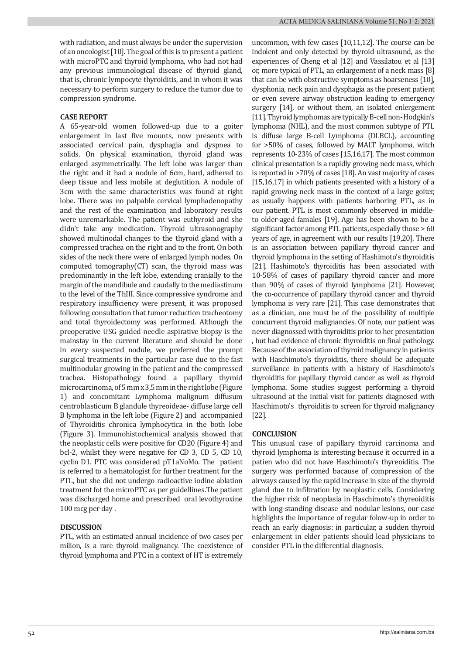with radiation, and must always be under the supervision of an oncologist [10]. The goal of this is to present a patient with microPTC and thyroid lymphoma, who had not had any previous immunological disease of thyroid gland, that is, chronic lympocyte thyroiditis, and in whom it was necessary to perform surgery to reduce the tumor due to compression syndrome.

# **CASE REPORT**

A 65-year-old women followed-up due to a goiter enlargement in last five mounts, now presents with associated cervical pain, dysphagia and dyspnea to solids. On physical examination, thyroid gland was enlarged asymmetrically. The left lobe was larger than the right and it had a nodule of 6cm, hard, adhered to deep tissue and less mobile at deglutition. A nodule of 3cm with the same characteristics was found at right lobe. There was no palpable cervical lymphadenopathy and the rest of the examination and laboratory results were unremarkable. The patient was euthyroid and she didn't take any medication. Thyroid ultrasonography showed multinodal changes to the thyroid gland with a compressed trachea on the right and to the front. On both sides of the neck there were of enlarged lymph nodes. On computed tomography $(CT)$  scan, the thyroid mass was predominantly in the left lobe, extending cranially to the margin of the mandibule and caudally to the mediastinum to the level of the ThIII. Since compressive syndrome and respiratory insufficiency were present, it was proposed following consultation that tumor reduction tracheotomy and total thyroidectomy was performed. Although the preoperative USG guided needle aspirative biopsy is the mainstay in the current literature and should be done in every suspected nodule, we preferred the prompt surgical treatments in the particular case due to the fast multinodular growing in the patient and the compressed trachea. Histopathology found a papillary thyroid microcarcinoma, of 5 mm x 3,5 mm in the right lobe (Figure 1) and concomitant Lymphoma malignum diffusum centroblasticum B glandule thyreoideae- diffuse large cell B lymphoma in the left lobe (Figure 2) and accompanied of Thyroiditis chronica lymphocytica in the both lobe (Figure 3). Immunohistochemical analysis showed that the neoplastic cells were positive for CD20 (Figure 4) and bcl-2, whilst they were negative for CD 3, CD 5, CD 10, cyclin D1. PTC was considered pT1aNoMo. The patient is referred to a hematologist for further treatment for the PTL, but she did not undergo radioactive iodine ablation treatment fot the microPTC as per guidellines.The patient was discharged home and prescribed oral levothyroxine 100 mcg per day .

## **DISCUSSION**

PTL, with an estimated annual incidence of two cases per milion, is a rare thyroid malignancy. The coexistence of thyroid lymphoma and PTC in a context of HT is extremely

uncommon, with few cases [10,11,12]. The course can be indolent and only detected by thyroid ultrasound, as the experiences of Cheng et al [12] and Vassilatou et al [13] or, more typical of PTL, an enlargement of a neck mass [8] that can be with obstructive symptoms as hoarseness [10], dysphonia, neck pain and dysphagia as the present patient or even severe airway obstruction leading to emergency surgery [14], or without them, an isolated enlergement [11]. Thyroid lymphomas are typically B-cell non- Hodgkin's lymphoma (NHL), and the most common subtype of PTL is diffuse large B-cell Lymphoma (DLBCL), accounting for >50% of cases, followed by MALT lymphoma, witch represents 10-23% of cases [15,16,17]. The most common clinical presentation is a rapidly growing neck mass, which is reported in >70% of cases [18]. An vast majority of cases [15,16,17] in which patients presented with a history of a rapid growing neck mass in the context of a large goiter, as usually happens with patients harboring PTL, as in our patient. PTL is most commonly observed in middleto older-aged famales [19]. Age has been shown to be a significant factor among PTL patients, especially those > 60 years of age, in agreement with our results [19,20]. There is an association between papillary thyroid cancer and thyroid lymphoma in the setting of Hashimoto's thyroiditis [21]. Hashimoto's thyroiditis has been associated with 10-58% of cases of papillary thyroid cancer and more than 90% of cases of thyroid lymphoma [21]. However, the co-occurrence of papillary thyroid cancer and thyroid lymphoma is very rare [21]. This case demonstrates that as a clinician, one must be of the possibility of multiple concurrent thyroid malignancies. Of note, our patient was never diagnossed with thyroiditis prior to her presentation , but had evidence of chronic thyroiditis on final pathology. Because of the association of thyroid malignancy in patients with Haschimoto's thyroiditis, there should be adequate surveillance in patients with a history of Haschimoto's thyroiditis for papillary thyroid cancer as well as thyroid lymphoma. Some studies suggest performing a thyroid ultrasound at the initial visit for patients diagnosed with Haschimoto's thyroiditis to screen for thyroid malignancy [22].

## **CONCLUSION**

This unusual case of papillary thyroid carcinoma and thyroid lymphoma is interesting because it occurred in a patien who did not have Haschimoto's thyreoiditis. The surgery was performed bacause of compression of the airways caused by the rapid increase in size of the thyroid gland due to infiltration by neoplastic cells. Considering the higher risk of neoplasia in Haschimoto's thyreoiditis with long-standing disease and nodular lesions, our case highlights the importance of regular folow-up in order to reach an early diagnosis: in particular, a sudden thyroid enlargement in elder patients should lead physicians to consider PTL in the differential diagnosis.